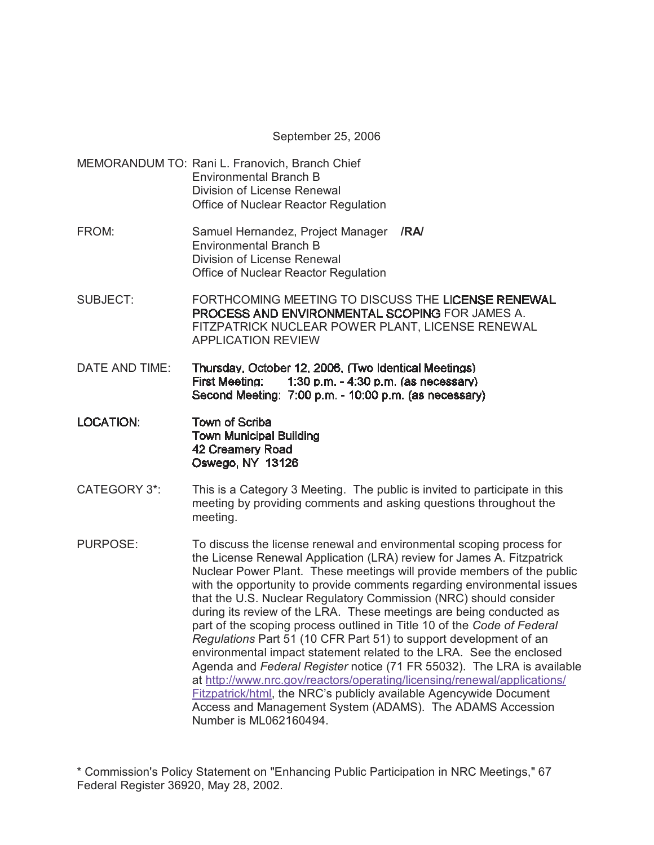September 25, 2006

- MEMORANDUM TO: Rani L. Franovich, Branch Chief Environmental Branch B Division of License Renewal Office of Nuclear Reactor Regulation
- FROM: Samuel Hernandez, Project Manager **/RA/** Environmental Branch B Division of License Renewal Office of Nuclear Reactor Regulation
- SUBJECT: FORTHCOMING MEETING TO DISCUSS THE LICENSE RENEWAL **PROCESS AND ENVIRONMENTAL SCOPING FOR JAMES A.** FITZPATRICK NUCLEAR POWER PLANT, LICENSE RENEWAL APPLICATION REVIEW
- DATE AND TIME: Thursday, October 12, 2006, (Two Identical Meetings) **First Meeting:** 1:30 p.m. - 4:30 p.m. (as necessary) Second Meeting: 7:00 p.m. - 10:00 p.m. (as necessary)
- **LOCATION:** Town of Scriba **Town Municipal Building** 42 Creamery Road Oswego, NY 13126
- CATEGORY 3\*: This is a Category 3 Meeting. The public is invited to participate in this meeting by providing comments and asking questions throughout the meeting.
- PURPOSE: To discuss the license renewal and environmental scoping process for the License Renewal Application (LRA) review for James A. Fitzpatrick Nuclear Power Plant. These meetings will provide members of the public with the opportunity to provide comments regarding environmental issues that the U.S. Nuclear Regulatory Commission (NRC) should consider during its review of the LRA. These meetings are being conducted as part of the scoping process outlined in Title 10 of the *Code of Federal Regulations* Part 51 (10 CFR Part 51) to support development of an environmental impact statement related to the LRA. See the enclosed Agenda and *Federal Register* notice (71 FR 55032). The LRA is available at http://www.nrc.gov/reactors/operating/licensing/renewal/applications/ Fitzpatrick/html, the NRC's publicly available Agencywide Document Access and Management System (ADAMS). The ADAMS Accession Number is ML062160494.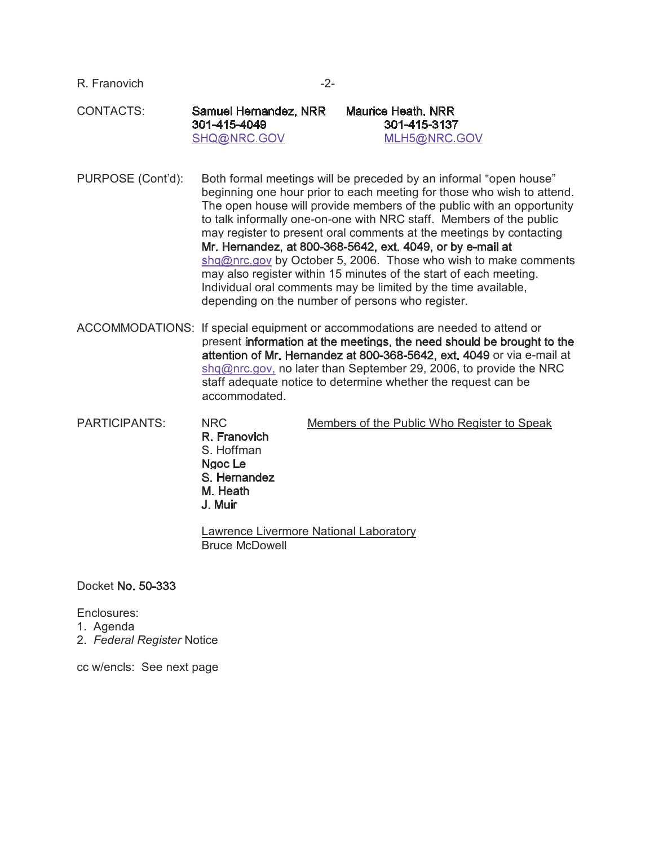| R. Franovich | $-2-$                                                |                                                    |  |
|--------------|------------------------------------------------------|----------------------------------------------------|--|
| CONTACTS:    | Samuel Hernandez, NRR<br>301-415-4049<br>SHQ@NRC.GOV | Maurice Heath, NRR<br>301-415-3137<br>MLH5@NRC.GOV |  |

PURPOSE (Cont'd): Both formal meetings will be preceded by an informal "open house" beginning one hour prior to each meeting for those who wish to attend. The open house will provide members of the public with an opportunity to talk informally one-on-one with NRC staff. Members of the public may register to present oral comments at the meetings by contacting Mr. Hernandez, at 800-368-5642, ext. 4049, or by e-mail at shq@nrc.gov by October 5, 2006. Those who wish to make comments may also register within 15 minutes of the start of each meeting. Individual oral comments may be limited by the time available, depending on the number of persons who register.

ACCOMMODATIONS: If special equipment or accommodations are needed to attend or present information at the meetings, the need should be brought to the attention of Mr. Hernandez at 800-368-5642, ext. 4049 or via e-mail at shq@nrc.gov, no later than September 29, 2006, to provide the NRC staff adequate notice to determine whether the request can be accommodated.

PARTICIPANTS: NRC Members of the Public Who Register to Speak R. Franovich S. Hoffman Ngoc Le

S. Hernandez M. Heath J. Muir

Lawrence Livermore National Laboratory Bruce McDowell

Docket No. 50-333

Enclosures:

- 1. Agenda
- 2. *Federal Register* Notice

cc w/encls: See next page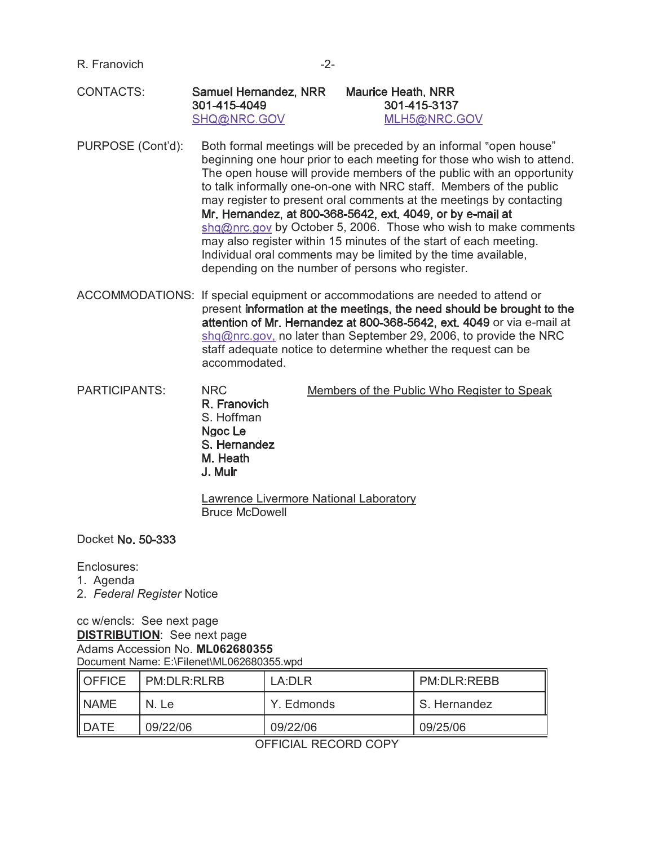R. Franovich -2-

#### CONTACTS: Samuel Hernandez, NRR 301-415-4049 SHQ@NRC.GOV

## **Maurice Heath, NRR** 301-415-3137 MLH5@NRC.GOV

PURPOSE (Cont'd): Both formal meetings will be preceded by an informal "open house" beginning one hour prior to each meeting for those who wish to attend. The open house will provide members of the public with an opportunity to talk informally one-on-one with NRC staff. Members of the public may register to present oral comments at the meetings by contacting Mr. Hernandez, at 800-368-5642, ext. 4049, or by e-mail at shq@nrc.gov by October 5, 2006. Those who wish to make comments may also register within 15 minutes of the start of each meeting. Individual oral comments may be limited by the time available, depending on the number of persons who register.

ACCOMMODATIONS: If special equipment or accommodations are needed to attend or present information at the meetings, the need should be brought to the attention of Mr. Hernandez at 800-368-5642, ext. 4049 or via e-mail at shq@nrc.gov, no later than September 29, 2006, to provide the NRC staff adequate notice to determine whether the request can be accommodated.

PARTICIPANTS: NRC Members of the Public Who Register to Speak R Franovich S. Hoffman Naoc Le S. Hernandez M. Heath J Muir

> Lawrence Livermore National Laboratory Bruce McDowell

#### Docket No. 50-333

## Enclosures:

- 1. Agenda
- 2. *Federal Register* Notice

# cc w/encls: See next page **DISTRIBUTION**: See next page Adams Accession No. **ML062680355** Document Name: E:\Filenet\ML062680355.wpd

| <b>OFFICE</b> | PM:DLR:RLRB | LA:DLR     | PM:DLR:REBB  |
|---------------|-------------|------------|--------------|
| <b>NAME</b>   | N. Le       | Y. Edmonds | S. Hernandez |
| <b>DATE</b>   | 09/22/06    | 09/22/06   | 09/25/06     |

OFFICIAL RECORD COPY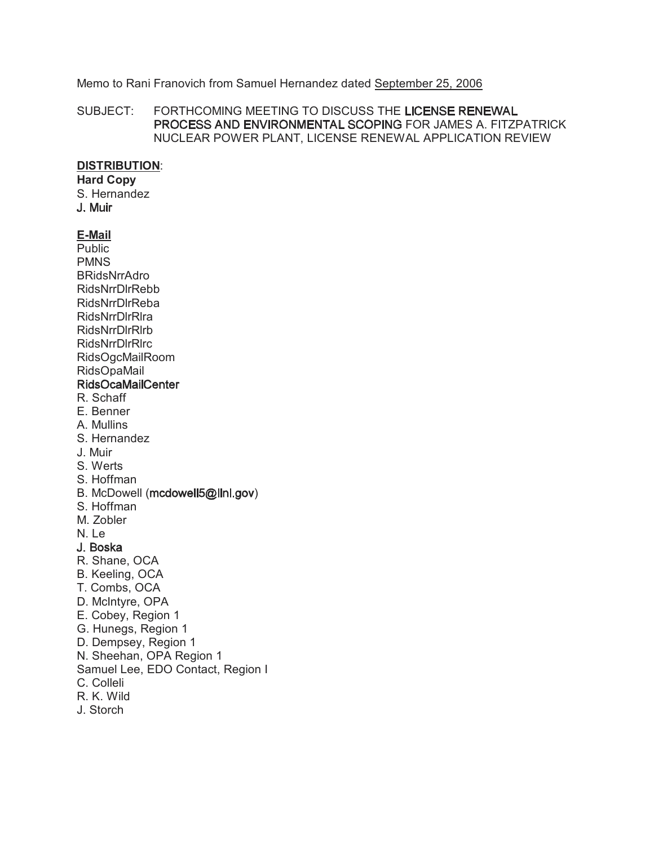## Memo to Rani Franovich from Samuel Hernandez dated September 25, 2006

SUBJECT: FORTHCOMING MEETING TO DISCUSS THE LICENSE RENEWAL PROCESS AND ENVIRONMENTAL SCOPING FOR JAMES A. FITZPATRICK NUCLEAR POWER PLANT, LICENSE RENEWAL APPLICATION REVIEW

#### **DISTRIBUTION**:

# **Hard Copy**

S. Hernandez<br>J. Muir

# **E-Mail**

Public PMNS BRidsNrrAdro RidsNrrDlrRebb RidsNrrDlrReba RidsNrrDlrRlra RidsNrrDlrRlrb RidsNrrDlrRlrc RidsOgcMailRoom RidsOpaMail

## **RidsOcaMailCenter**

- R. Schaff
- E. Benner
- A. Mullins
- S. Hernandez
- J. Muir
- S. Werts
- S. Hoffman
- B. McDowell (mcdowell5@llnl.gov)
- S. Hoffman
- M. Zobler

N. Le

- J. Boska
- R. Shane, OCA
- B. Keeling, OCA
- T. Combs, OCA
- D. McIntyre, OPA
- E. Cobey, Region 1
- G. Hunegs, Region 1
- D. Dempsey, Region 1
- N. Sheehan, OPA Region 1
- Samuel Lee, EDO Contact, Region I
- C. Colleli
- R. K. Wild
- J. Storch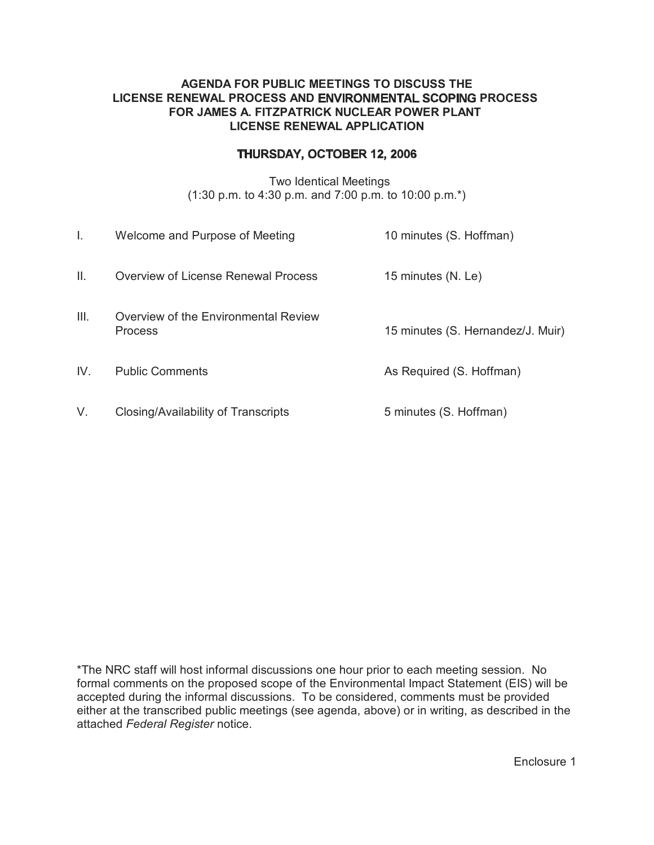## **AGENDA FOR PUBLIC MEETINGS TO DISCUSS THE LICENSE RENEWAL PROCESS AND ENVIRONMENTAL SCOPING PROCESS FOR JAMES A. FITZPATRICK NUCLEAR POWER PLANT LICENSE RENEWAL APPLICATION**

# THURSDAY, OCTOBER 12, 2006

Two Identical Meetings (1:30 p.m. to 4:30 p.m. and 7:00 p.m. to 10:00 p.m.\*)

| I.   | Welcome and Purpose of Meeting                         | 10 minutes (S. Hoffman)           |
|------|--------------------------------------------------------|-----------------------------------|
| Ш.   | Overview of License Renewal Process                    | 15 minutes (N. Le)                |
| III. | Overview of the Environmental Review<br><b>Process</b> | 15 minutes (S. Hernandez/J. Muir) |
| IV.  | <b>Public Comments</b>                                 | As Required (S. Hoffman)          |
| V.   | Closing/Availability of Transcripts                    | 5 minutes (S. Hoffman)            |

\*The NRC staff will host informal discussions one hour prior to each meeting session. No formal comments on the proposed scope of the Environmental Impact Statement (EIS) will be accepted during the informal discussions. To be considered, comments must be provided either at the transcribed public meetings (see agenda, above) or in writing, as described in the attached *Federal Register* notice.

Enclosure 1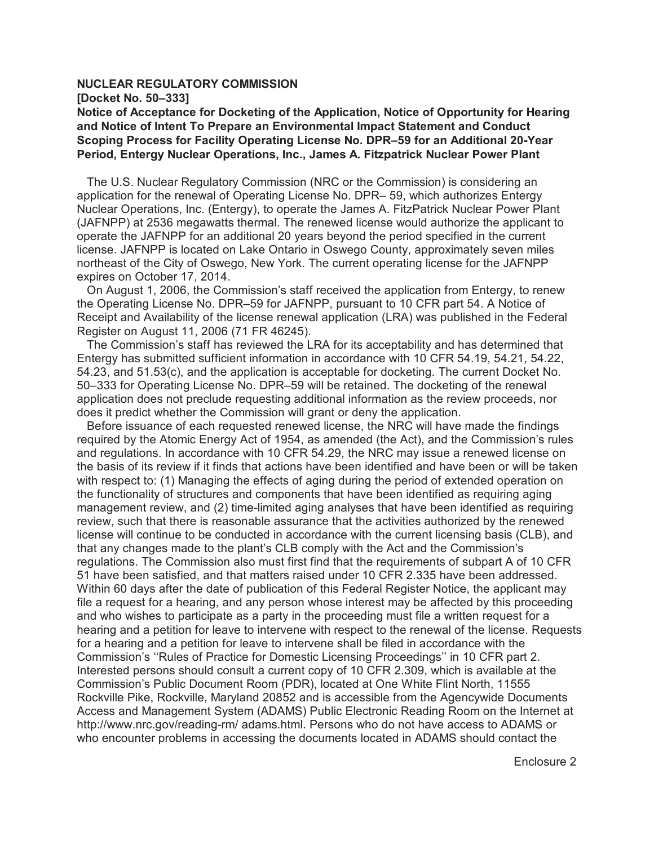#### **NUCLEAR REGULATORY COMMISSION**

**[Docket No. 50–333]**

**Notice of Acceptance for Docketing of the Application, Notice of Opportunity for Hearing and Notice of Intent To Prepare an Environmental Impact Statement and Conduct Scoping Process for Facility Operating License No. DPR–59 for an Additional 20-Year Period, Entergy Nuclear Operations, Inc., James A. Fitzpatrick Nuclear Power Plant** 

 The U.S. Nuclear Regulatory Commission (NRC or the Commission) is considering an application for the renewal of Operating License No. DPR– 59, which authorizes Entergy Nuclear Operations, Inc. (Entergy), to operate the James A. FitzPatrick Nuclear Power Plant (JAFNPP) at 2536 megawatts thermal. The renewed license would authorize the applicant to operate the JAFNPP for an additional 20 years beyond the period specified in the current license. JAFNPP is located on Lake Ontario in Oswego County, approximately seven miles northeast of the City of Oswego, New York. The current operating license for the JAFNPP expires on October 17, 2014.

 On August 1, 2006, the Commission's staff received the application from Entergy, to renew the Operating License No. DPR–59 for JAFNPP, pursuant to 10 CFR part 54. A Notice of Receipt and Availability of the license renewal application (LRA) was published in the Federal Register on August 11, 2006 (71 FR 46245).

 The Commission's staff has reviewed the LRA for its acceptability and has determined that Entergy has submitted sufficient information in accordance with 10 CFR 54.19, 54.21, 54.22, 54.23, and 51.53(c), and the application is acceptable for docketing. The current Docket No. 50–333 for Operating License No. DPR–59 will be retained. The docketing of the renewal application does not preclude requesting additional information as the review proceeds, nor does it predict whether the Commission will grant or deny the application.

 Before issuance of each requested renewed license, the NRC will have made the findings required by the Atomic Energy Act of 1954, as amended (the Act), and the Commission's rules and regulations. In accordance with 10 CFR 54.29, the NRC may issue a renewed license on the basis of its review if it finds that actions have been identified and have been or will be taken with respect to: (1) Managing the effects of aging during the period of extended operation on the functionality of structures and components that have been identified as requiring aging management review, and (2) time-limited aging analyses that have been identified as requiring review, such that there is reasonable assurance that the activities authorized by the renewed license will continue to be conducted in accordance with the current licensing basis (CLB), and that any changes made to the plant's CLB comply with the Act and the Commission's regulations. The Commission also must first find that the requirements of subpart A of 10 CFR 51 have been satisfied, and that matters raised under 10 CFR 2.335 have been addressed. Within 60 days after the date of publication of this Federal Register Notice, the applicant may file a request for a hearing, and any person whose interest may be affected by this proceeding and who wishes to participate as a party in the proceeding must file a written request for a hearing and a petition for leave to intervene with respect to the renewal of the license. Requests for a hearing and a petition for leave to intervene shall be filed in accordance with the Commission's ''Rules of Practice for Domestic Licensing Proceedings'' in 10 CFR part 2. Interested persons should consult a current copy of 10 CFR 2.309, which is available at the Commission's Public Document Room (PDR), located at One White Flint North, 11555 Rockville Pike, Rockville, Maryland 20852 and is accessible from the Agencywide Documents Access and Management System (ADAMS) Public Electronic Reading Room on the Internet at http://www.nrc.gov/reading-rm/ adams.html. Persons who do not have access to ADAMS or who encounter problems in accessing the documents located in ADAMS should contact the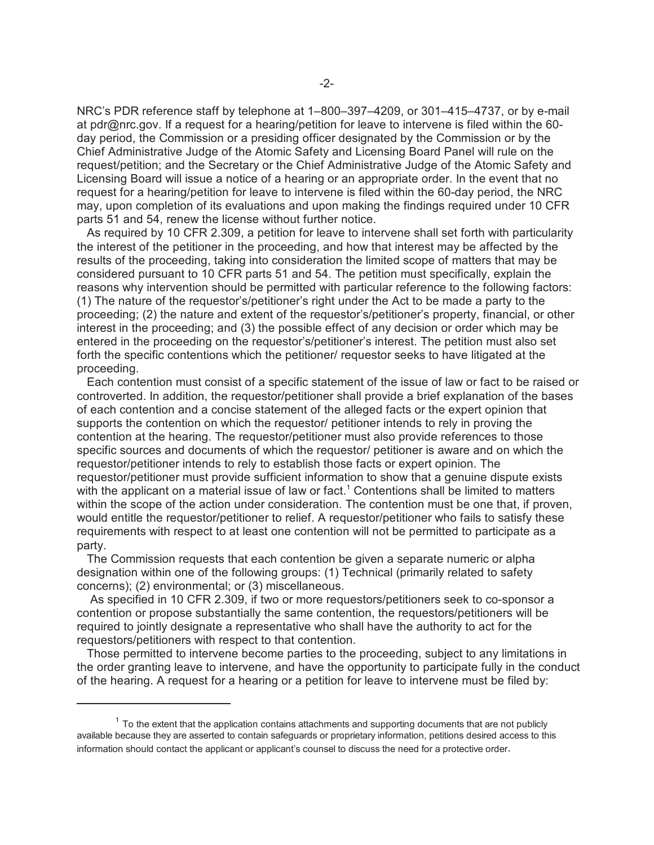NRC's PDR reference staff by telephone at 1–800–397–4209, or 301–415–4737, or by e-mail at pdr@nrc.gov. If a request for a hearing/petition for leave to intervene is filed within the 60 day period, the Commission or a presiding officer designated by the Commission or by the Chief Administrative Judge of the Atomic Safety and Licensing Board Panel will rule on the request/petition; and the Secretary or the Chief Administrative Judge of the Atomic Safety and Licensing Board will issue a notice of a hearing or an appropriate order. In the event that no request for a hearing/petition for leave to intervene is filed within the 60-day period, the NRC may, upon completion of its evaluations and upon making the findings required under 10 CFR parts 51 and 54, renew the license without further notice.

 As required by 10 CFR 2.309, a petition for leave to intervene shall set forth with particularity the interest of the petitioner in the proceeding, and how that interest may be affected by the results of the proceeding, taking into consideration the limited scope of matters that may be considered pursuant to 10 CFR parts 51 and 54. The petition must specifically, explain the reasons why intervention should be permitted with particular reference to the following factors: (1) The nature of the requestor's/petitioner's right under the Act to be made a party to the proceeding; (2) the nature and extent of the requestor's/petitioner's property, financial, or other interest in the proceeding; and (3) the possible effect of any decision or order which may be entered in the proceeding on the requestor's/petitioner's interest. The petition must also set forth the specific contentions which the petitioner/ requestor seeks to have litigated at the proceeding.

 Each contention must consist of a specific statement of the issue of law or fact to be raised or controverted. In addition, the requestor/petitioner shall provide a brief explanation of the bases of each contention and a concise statement of the alleged facts or the expert opinion that supports the contention on which the requestor/ petitioner intends to rely in proving the contention at the hearing. The requestor/petitioner must also provide references to those specific sources and documents of which the requestor/ petitioner is aware and on which the requestor/petitioner intends to rely to establish those facts or expert opinion. The requestor/petitioner must provide sufficient information to show that a genuine dispute exists with the applicant on a material issue of law or fact.<sup>1</sup> Contentions shall be limited to matters within the scope of the action under consideration. The contention must be one that, if proven, would entitle the requestor/petitioner to relief. A requestor/petitioner who fails to satisfy these requirements with respect to at least one contention will not be permitted to participate as a party.

 The Commission requests that each contention be given a separate numeric or alpha designation within one of the following groups: (1) Technical (primarily related to safety concerns); (2) environmental; or (3) miscellaneous.

 As specified in 10 CFR 2.309, if two or more requestors/petitioners seek to co-sponsor a contention or propose substantially the same contention, the requestors/petitioners will be required to jointly designate a representative who shall have the authority to act for the requestors/petitioners with respect to that contention.

 Those permitted to intervene become parties to the proceeding, subject to any limitations in the order granting leave to intervene, and have the opportunity to participate fully in the conduct of the hearing. A request for a hearing or a petition for leave to intervene must be filed by:

 $<sup>1</sup>$  To the extent that the application contains attachments and supporting documents that are not publicly</sup> available because they are asserted to contain safeguards or proprietary information, petitions desired access to this information should contact the applicant or applicant's counsel to discuss the need for a protective order.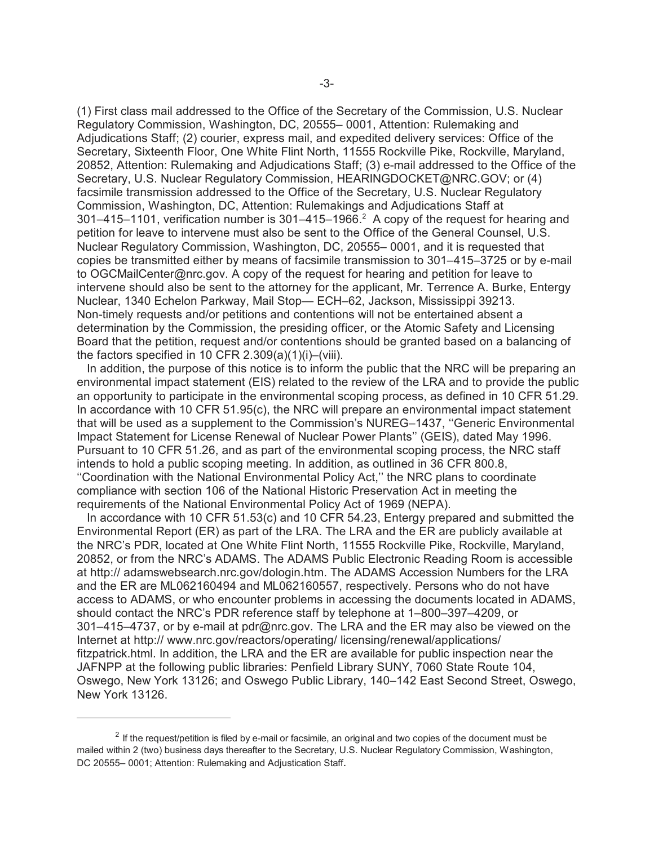(1) First class mail addressed to the Office of the Secretary of the Commission, U.S. Nuclear Regulatory Commission, Washington, DC, 20555– 0001, Attention: Rulemaking and Adjudications Staff; (2) courier, express mail, and expedited delivery services: Office of the Secretary, Sixteenth Floor, One White Flint North, 11555 Rockville Pike, Rockville, Maryland, 20852, Attention: Rulemaking and Adjudications Staff; (3) e-mail addressed to the Office of the Secretary, U.S. Nuclear Regulatory Commission, HEARINGDOCKET@NRC.GOV; or (4) facsimile transmission addressed to the Office of the Secretary, U.S. Nuclear Regulatory Commission, Washington, DC, Attention: Rulemakings and Adjudications Staff at 301–415–1101, verification number is 301–415–1966.<sup>2</sup> A copy of the request for hearing and petition for leave to intervene must also be sent to the Office of the General Counsel, U.S. Nuclear Regulatory Commission, Washington, DC, 20555– 0001, and it is requested that copies be transmitted either by means of facsimile transmission to 301–415–3725 or by e-mail to OGCMailCenter@nrc.gov. A copy of the request for hearing and petition for leave to intervene should also be sent to the attorney for the applicant, Mr. Terrence A. Burke, Entergy Nuclear, 1340 Echelon Parkway, Mail Stop— ECH–62, Jackson, Mississippi 39213. Non-timely requests and/or petitions and contentions will not be entertained absent a determination by the Commission, the presiding officer, or the Atomic Safety and Licensing Board that the petition, request and/or contentions should be granted based on a balancing of the factors specified in 10 CFR  $2.309(a)(1)(i)$ –(viii).

 In addition, the purpose of this notice is to inform the public that the NRC will be preparing an environmental impact statement (EIS) related to the review of the LRA and to provide the public an opportunity to participate in the environmental scoping process, as defined in 10 CFR 51.29. In accordance with 10 CFR 51.95(c), the NRC will prepare an environmental impact statement that will be used as a supplement to the Commission's NUREG–1437, ''Generic Environmental Impact Statement for License Renewal of Nuclear Power Plants'' (GEIS), dated May 1996. Pursuant to 10 CFR 51.26, and as part of the environmental scoping process, the NRC staff intends to hold a public scoping meeting. In addition, as outlined in 36 CFR 800.8, ''Coordination with the National Environmental Policy Act,'' the NRC plans to coordinate compliance with section 106 of the National Historic Preservation Act in meeting the requirements of the National Environmental Policy Act of 1969 (NEPA).

 In accordance with 10 CFR 51.53(c) and 10 CFR 54.23, Entergy prepared and submitted the Environmental Report (ER) as part of the LRA. The LRA and the ER are publicly available at the NRC's PDR, located at One White Flint North, 11555 Rockville Pike, Rockville, Maryland, 20852, or from the NRC's ADAMS. The ADAMS Public Electronic Reading Room is accessible at http:// adamswebsearch.nrc.gov/dologin.htm. The ADAMS Accession Numbers for the LRA and the ER are ML062160494 and ML062160557, respectively. Persons who do not have access to ADAMS, or who encounter problems in accessing the documents located in ADAMS, should contact the NRC's PDR reference staff by telephone at 1–800–397–4209, or 301–415–4737, or by e-mail at pdr@nrc.gov. The LRA and the ER may also be viewed on the Internet at http:// www.nrc.gov/reactors/operating/ licensing/renewal/applications/ fitzpatrick.html. In addition, the LRA and the ER are available for public inspection near the JAFNPP at the following public libraries: Penfield Library SUNY, 7060 State Route 104, Oswego, New York 13126; and Oswego Public Library, 140–142 East Second Street, Oswego, New York 13126.

 $2$  If the request/petition is filed by e-mail or facsimile, an original and two copies of the document must be mailed within 2 (two) business days thereafter to the Secretary, U.S. Nuclear Regulatory Commission, Washington, DC 20555-0001; Attention: Rulemaking and Adjustication Staff.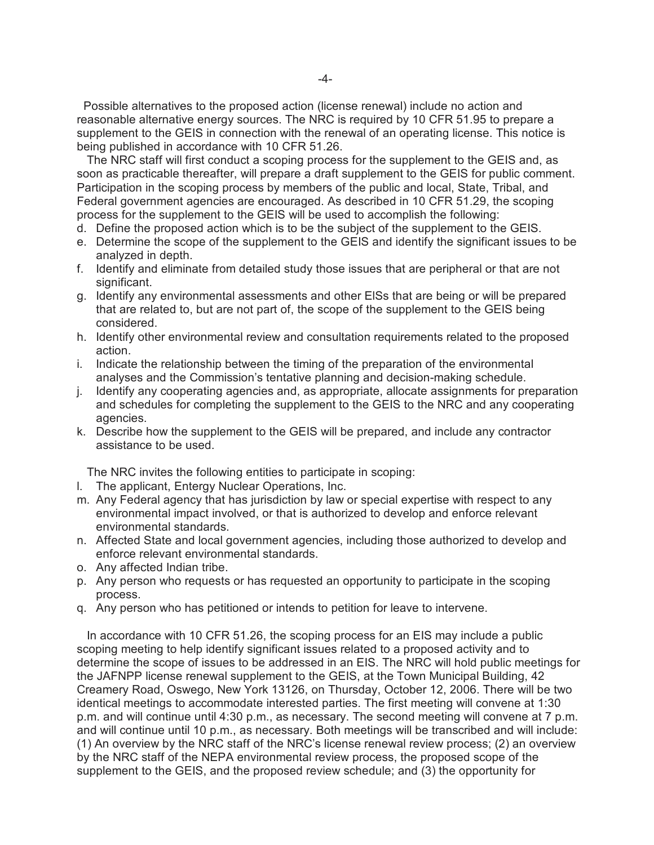Possible alternatives to the proposed action (license renewal) include no action and reasonable alternative energy sources. The NRC is required by 10 CFR 51.95 to prepare a supplement to the GEIS in connection with the renewal of an operating license. This notice is being published in accordance with 10 CFR 51.26.

 The NRC staff will first conduct a scoping process for the supplement to the GEIS and, as soon as practicable thereafter, will prepare a draft supplement to the GEIS for public comment. Participation in the scoping process by members of the public and local, State, Tribal, and Federal government agencies are encouraged. As described in 10 CFR 51.29, the scoping process for the supplement to the GEIS will be used to accomplish the following:

- d. Define the proposed action which is to be the subject of the supplement to the GEIS.
- e. Determine the scope of the supplement to the GEIS and identify the significant issues to be analyzed in depth.
- f. Identify and eliminate from detailed study those issues that are peripheral or that are not significant.
- g. Identify any environmental assessments and other ElSs that are being or will be prepared that are related to, but are not part of, the scope of the supplement to the GEIS being considered.
- h. Identify other environmental review and consultation requirements related to the proposed action.
- i. Indicate the relationship between the timing of the preparation of the environmental analyses and the Commission's tentative planning and decision-making schedule.
- j. Identify any cooperating agencies and, as appropriate, allocate assignments for preparation and schedules for completing the supplement to the GEIS to the NRC and any cooperating agencies.
- k. Describe how the supplement to the GEIS will be prepared, and include any contractor assistance to be used.

The NRC invites the following entities to participate in scoping:

- l. The applicant, Entergy Nuclear Operations, Inc.
- m. Any Federal agency that has jurisdiction by law or special expertise with respect to any environmental impact involved, or that is authorized to develop and enforce relevant environmental standards.
- n. Affected State and local government agencies, including those authorized to develop and enforce relevant environmental standards.
- o. Any affected Indian tribe.
- p. Any person who requests or has requested an opportunity to participate in the scoping process.
- q. Any person who has petitioned or intends to petition for leave to intervene.

 In accordance with 10 CFR 51.26, the scoping process for an EIS may include a public scoping meeting to help identify significant issues related to a proposed activity and to determine the scope of issues to be addressed in an EIS. The NRC will hold public meetings for the JAFNPP license renewal supplement to the GEIS, at the Town Municipal Building, 42 Creamery Road, Oswego, New York 13126, on Thursday, October 12, 2006. There will be two identical meetings to accommodate interested parties. The first meeting will convene at 1:30 p.m. and will continue until 4:30 p.m., as necessary. The second meeting will convene at 7 p.m. and will continue until 10 p.m., as necessary. Both meetings will be transcribed and will include: (1) An overview by the NRC staff of the NRC's license renewal review process; (2) an overview by the NRC staff of the NEPA environmental review process, the proposed scope of the supplement to the GEIS, and the proposed review schedule; and (3) the opportunity for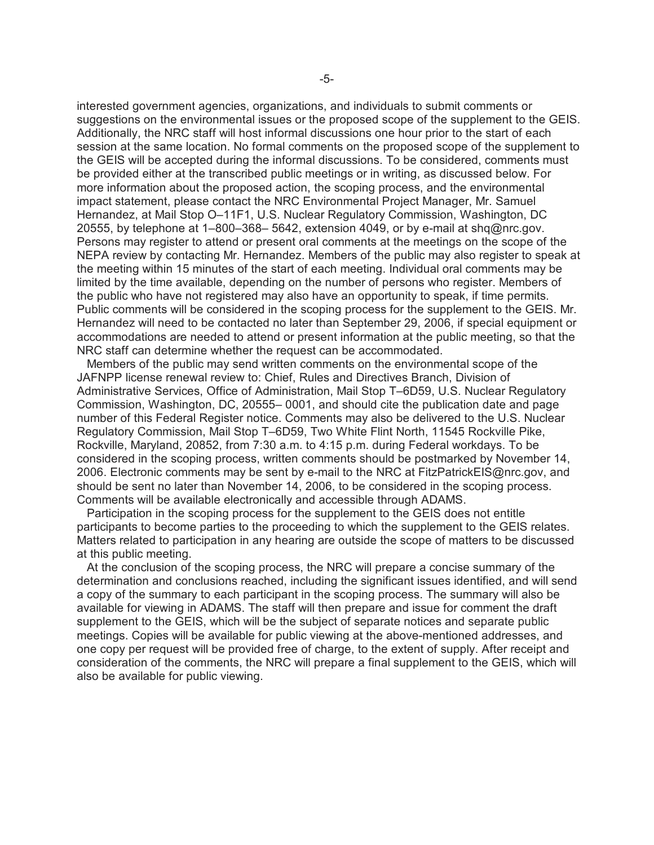interested government agencies, organizations, and individuals to submit comments or suggestions on the environmental issues or the proposed scope of the supplement to the GEIS. Additionally, the NRC staff will host informal discussions one hour prior to the start of each session at the same location. No formal comments on the proposed scope of the supplement to the GEIS will be accepted during the informal discussions. To be considered, comments must be provided either at the transcribed public meetings or in writing, as discussed below. For more information about the proposed action, the scoping process, and the environmental impact statement, please contact the NRC Environmental Project Manager, Mr. Samuel Hernandez, at Mail Stop O–11F1, U.S. Nuclear Regulatory Commission, Washington, DC 20555, by telephone at  $1-800-368-5642$ , extension 4049, or by e-mail at shq@nrc.gov. Persons may register to attend or present oral comments at the meetings on the scope of the NEPA review by contacting Mr. Hernandez. Members of the public may also register to speak at the meeting within 15 minutes of the start of each meeting. Individual oral comments may be limited by the time available, depending on the number of persons who register. Members of the public who have not registered may also have an opportunity to speak, if time permits. Public comments will be considered in the scoping process for the supplement to the GEIS. Mr. Hernandez will need to be contacted no later than September 29, 2006, if special equipment or accommodations are needed to attend or present information at the public meeting, so that the NRC staff can determine whether the request can be accommodated.

 Members of the public may send written comments on the environmental scope of the JAFNPP license renewal review to: Chief, Rules and Directives Branch, Division of Administrative Services, Office of Administration, Mail Stop T–6D59, U.S. Nuclear Regulatory Commission, Washington, DC, 20555– 0001, and should cite the publication date and page number of this Federal Register notice. Comments may also be delivered to the U.S. Nuclear Regulatory Commission, Mail Stop T–6D59, Two White Flint North, 11545 Rockville Pike, Rockville, Maryland, 20852, from 7:30 a.m. to 4:15 p.m. during Federal workdays. To be considered in the scoping process, written comments should be postmarked by November 14, 2006. Electronic comments may be sent by e-mail to the NRC at FitzPatrickEIS@nrc.gov, and should be sent no later than November 14, 2006, to be considered in the scoping process. Comments will be available electronically and accessible through ADAMS.

 Participation in the scoping process for the supplement to the GEIS does not entitle participants to become parties to the proceeding to which the supplement to the GEIS relates. Matters related to participation in any hearing are outside the scope of matters to be discussed at this public meeting.

 At the conclusion of the scoping process, the NRC will prepare a concise summary of the determination and conclusions reached, including the significant issues identified, and will send a copy of the summary to each participant in the scoping process. The summary will also be available for viewing in ADAMS. The staff will then prepare and issue for comment the draft supplement to the GEIS, which will be the subject of separate notices and separate public meetings. Copies will be available for public viewing at the above-mentioned addresses, and one copy per request will be provided free of charge, to the extent of supply. After receipt and consideration of the comments, the NRC will prepare a final supplement to the GEIS, which will also be available for public viewing.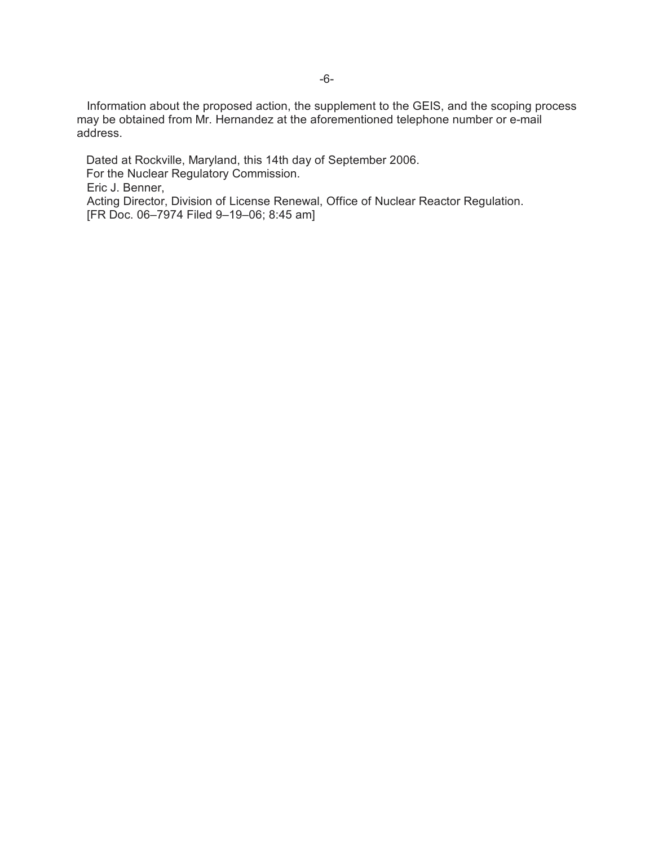Information about the proposed action, the supplement to the GEIS, and the scoping process may be obtained from Mr. Hernandez at the aforementioned telephone number or e-mail address.

Dated at Rockville, Maryland, this 14th day of September 2006. For the Nuclear Regulatory Commission. Eric J. Benner, Acting Director, Division of License Renewal, Office of Nuclear Reactor Regulation. [FR Doc. 06–7974 Filed 9–19–06; 8:45 am]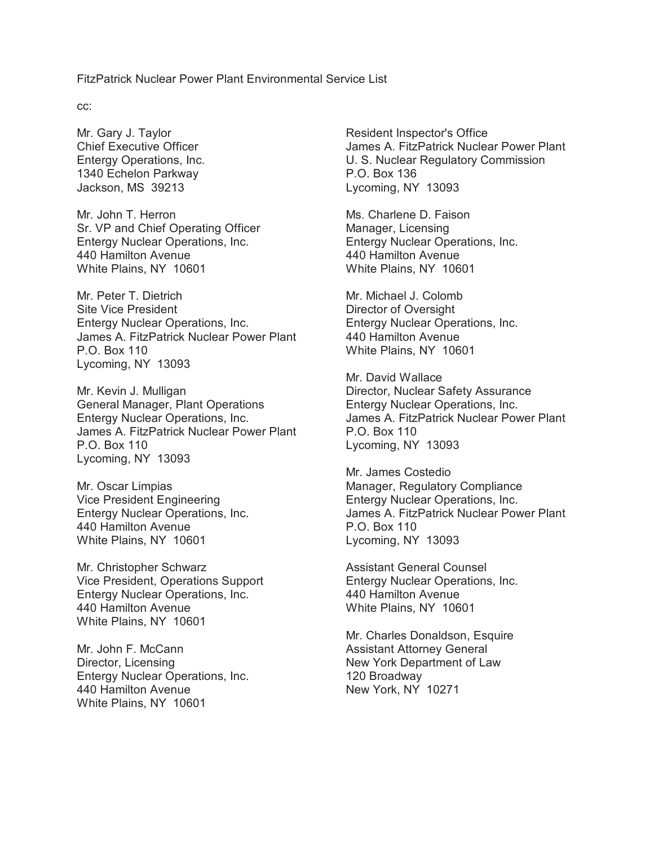FitzPatrick Nuclear Power Plant Environmental Service List

cc:

Mr. Gary J. Taylor Chief Executive Officer Entergy Operations, Inc. 1340 Echelon Parkway Jackson, MS 39213

Mr. John T. Herron Sr. VP and Chief Operating Officer Entergy Nuclear Operations, Inc. 440 Hamilton Avenue White Plains, NY 10601

Mr. Peter T. Dietrich Site Vice President Entergy Nuclear Operations, Inc. James A. FitzPatrick Nuclear Power Plant P.O. Box 110 Lycoming, NY 13093

Mr. Kevin J. Mulligan General Manager, Plant Operations Entergy Nuclear Operations, Inc. James A. FitzPatrick Nuclear Power Plant P.O. Box 110 Lycoming, NY 13093

Mr. Oscar Limpias Vice President Engineering Entergy Nuclear Operations, Inc. 440 Hamilton Avenue White Plains, NY 10601

Mr. Christopher Schwarz Vice President, Operations Support Entergy Nuclear Operations, Inc. 440 Hamilton Avenue White Plains, NY 10601

Mr. John F. McCann Director, Licensing Entergy Nuclear Operations, Inc. 440 Hamilton Avenue White Plains, NY 10601

Resident Inspector's Office James A. FitzPatrick Nuclear Power Plant U. S. Nuclear Regulatory Commission P.O. Box 136 Lycoming, NY 13093

Ms. Charlene D. Faison Manager, Licensing Entergy Nuclear Operations, Inc. 440 Hamilton Avenue White Plains, NY 10601

Mr. Michael J. Colomb Director of Oversight Entergy Nuclear Operations, Inc. 440 Hamilton Avenue White Plains, NY 10601

Mr. David Wallace Director, Nuclear Safety Assurance Entergy Nuclear Operations, Inc. James A. FitzPatrick Nuclear Power Plant P.O. Box 110 Lycoming, NY 13093

Mr. James Costedio Manager, Regulatory Compliance Entergy Nuclear Operations, Inc. James A. FitzPatrick Nuclear Power Plant P.O. Box 110 Lycoming, NY 13093

Assistant General Counsel Entergy Nuclear Operations, Inc. 440 Hamilton Avenue White Plains, NY 10601

Mr. Charles Donaldson, Esquire Assistant Attorney General New York Department of Law 120 Broadway New York, NY 10271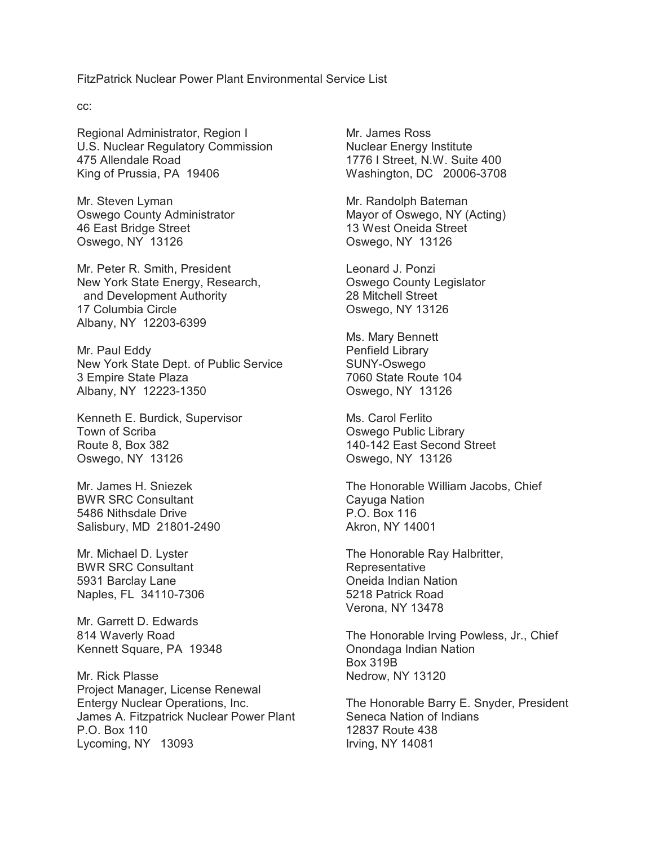FitzPatrick Nuclear Power Plant Environmental Service List

cc:

Regional Administrator, Region I U.S. Nuclear Regulatory Commission 475 Allendale Road King of Prussia, PA 19406

Mr. Steven Lyman Oswego County Administrator 46 East Bridge Street Oswego, NY 13126

Mr. Peter R. Smith, President New York State Energy, Research, and Development Authority 17 Columbia Circle Albany, NY 12203-6399

Mr. Paul Eddy New York State Dept. of Public Service 3 Empire State Plaza Albany, NY 12223-1350

Kenneth E. Burdick, Supervisor Town of Scriba Route 8, Box 382 Oswego, NY 13126

Mr. James H. Sniezek BWR SRC Consultant 5486 Nithsdale Drive Salisbury, MD 21801-2490

Mr. Michael D. Lyster BWR SRC Consultant 5931 Barclay Lane Naples, FL 34110-7306

Mr. Garrett D. Edwards 814 Waverly Road Kennett Square, PA 19348

Mr. Rick Plasse Project Manager, License Renewal Entergy Nuclear Operations, Inc. James A. Fitzpatrick Nuclear Power Plant P.O. Box 110 Lycoming, NY 13093

Mr. James Ross Nuclear Energy Institute 1776 I Street, N.W. Suite 400 Washington, DC 20006-3708

Mr. Randolph Bateman Mayor of Oswego, NY (Acting) 13 West Oneida Street Oswego, NY 13126

Leonard J. Ponzi Oswego County Legislator 28 Mitchell Street Oswego, NY 13126

Ms. Mary Bennett Penfield Library SUNY-Oswego 7060 State Route 104 Oswego, NY 13126

Ms. Carol Ferlito Oswego Public Library 140-142 East Second Street Oswego, NY 13126

The Honorable William Jacobs, Chief Cayuga Nation P.O. Box 116 Akron, NY 14001

The Honorable Ray Halbritter, **Representative** Oneida Indian Nation 5218 Patrick Road Verona, NY 13478

The Honorable Irving Powless, Jr., Chief Onondaga Indian Nation Box 319B Nedrow, NY 13120

The Honorable Barry E. Snyder, President Seneca Nation of Indians 12837 Route 438 Irving, NY 14081